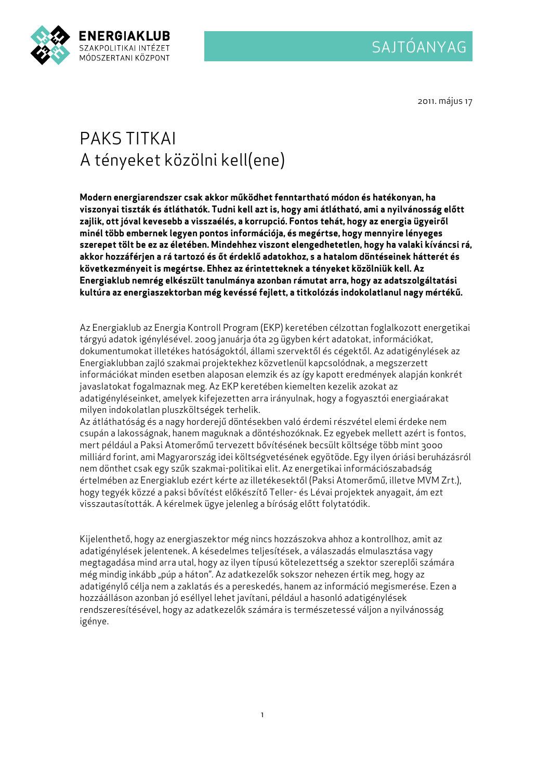

2011. május 17

## PAKS TITKAI A tényeket közölni kell(ene)

Modern energiarendszer csak akkor működhet fenntartható módon és hatékonyan, ha viszonyai tiszták és átláthatók. Tudni kell azt is, hogy ami átlátható, ami a nyilvánosság előtt zajlik, ott jóval kevesebb a visszaélés, a korrupció. Fontos tehát, hogy az energia ügyeiről minél több embernek legyen pontos információja, és megértse, hogy mennyire lényeges szerepet tölt be ez az életében. Mindehhez viszont elengedhetetlen, hogy ha valaki kíváncsi rá, akkor hozzáférjen a rá tartozó és őt érdeklő adatokhoz, s a hatalom döntéseinek hátterét és következményeit is megértse. Ehhez az érintetteknek a tényeket közölniük kell. Az Energiaklub nemrég elkészült tanulmánya azonban rámutat arra, hogy az adatszolgáltatási kultúra az energiaszektorban még kevéssé fejlett, a titkolózás indokolatlanul nagy mértékű.

Az Energiaklub az Energia Kontroll Program (EKP) keretében célzottan foglalkozott energetikai tárgyú adatok igénylésével. 2009 januárja óta 29 ügyben kért adatokat, információkat, dokumentumokat illetékes hatóságoktól, állami szervektől és cégektől. Az adatigénylések az Energiaklubban zajló szakmai projektekhez közvetlenül kapcsolódnak, a megszerzett információkat minden esetben alaposan elemzik és az így kapott eredmények alapján konkrét javaslatokat fogalmaznak meg. Az EKP keretében kiemelten kezelik azokat az adatigényléseinket, amelyek kifejezetten arra irányulnak, hogy a fogyasztói energiaárakat milyen indokolatlan pluszköltségek terhelik.

Az átláthatóság és a nagy horderejű döntésekben való érdemi részvétel elemi érdeke nem csupán a lakosságnak, hanem maguknak a döntéshozóknak. Ez egyebek mellett azért is fontos, mert például a Paksi Atomerőmű tervezett bővítésének becsült költsége több mint 3000 milliárd forint, ami Magyarország idei költségvetésének egyötöde. Egy ilyen óriási beruházásról nem dönthet csak egy szűk szakmai-politikai elit. Az energetikai információszabadság értelmében az Energiaklub ezért kérte az illetékesektől (Paksi Atomerőmű, illetve MVM Zrt.), hogy tegyék közzé a paksi bővítést előkészítő Teller- és Lévai projektek anyagait, ám ezt visszautasították. A kérelmek ügye jelenleg a bíróság előtt folytatódik.

Kijelenthető, hogy az energiaszektor még nincs hozzászokva ahhoz a kontrollhoz, amit az adatigénylések jelentenek. A késedelmes teljesítések, a válaszadás elmulasztása vagy megtagadása mind arra utal, hogy az ilyen típusú kötelezettség a szektor szereplői számára még mindig inkább "púp a háton". Az adatkezelők sokszor nehezen értik meg, hogy az adatigénylő célja nem a zaklatás és a pereskedés, hanem az információ megismerése. Ezen a hozzáálláson azonban jó eséllyel lehet javítani, például a hasonló adatigénylések rendszeresítésével, hogy az adatkezelők számára is természetessé váljon a nyilvánosság igénye.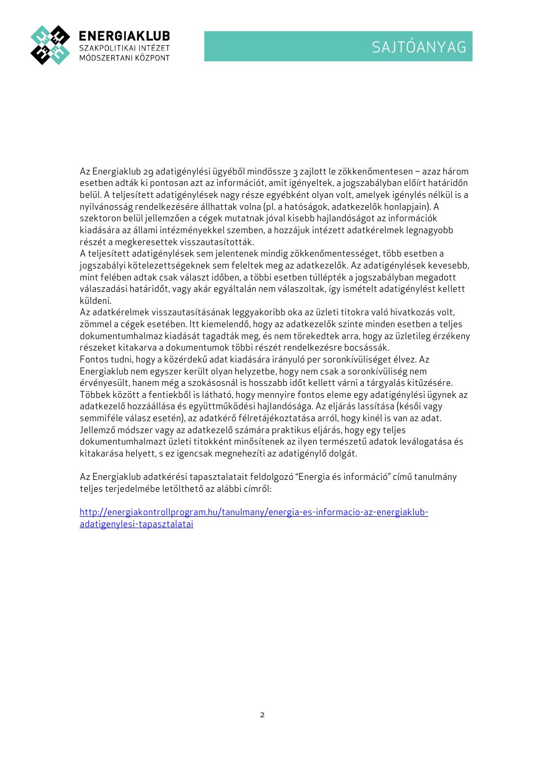

Az Energiaklub 29 adatigénylési ügyéből mindössze 3 zajlott le zökkenőmentesen - azaz három esetben adták ki pontosan azt az információt, amit igényeltek, a jogszabályban előírt határidőn belül. A teljesített adatigénylések nagy része egyébként olyan volt, amelyek igénylés nélkül is a nyilvánosság rendelkezésére állhattak volna (pl. a hatóságok, adatkezelők honlapjain). A szektoron belül jellemzően a cégek mutatnak jóval kisebb hajlandóságot az információk kiadására az állami intézményekkel szemben, a hozzájuk intézett adatkérelmek legnagyobb részét a megkeresettek visszautasították.

A teljesített adatigénylések sem jelentenek mindig zökkenőmentességet, több esetben a jogszabályi kötelezettségeknek sem feleltek meg az adatkezelők. Az adatigénylések kevesebb, mint felében adtak csak választ időben, a többi esetben túllépték a jogszabályban megadott válaszadási határidőt, vagy akár egyáltalán nem válaszoltak, így ismételt adatigénylést kellett küldeni.

Az adatkérelmek visszautasításának leggyakoribb oka az üzleti titokra való hivatkozás volt, zömmel a cégek esetében. Itt kiemelendő, hogy az adatkezelők szinte minden esetben a teljes dokumentumhalmaz kiadását tagadták meg, és nem törekedtek arra, hogy az üzletileg érzékeny részeket kitakarva a dokumentumok többi részét rendelkezésre bocsássák.

Fontos tudni, hogy a közérdekű adat kiadására irányuló per soronkívüliséget élvez. Az Energiaklub nem egyszer került olyan helyzetbe, hogy nem csak a soronkívüliség nem érvényesült, hanem még a szokásosnál is hosszabb időt kellett várni a tárgyalás kitűzésére. Többek között a fentiekből is látható, hogy mennyire fontos eleme egy adatigénylési ügynek az adatkezelő hozzáállása és együttműködési hajlandósága. Az eljárás lassítása (késői vagy semmiféle válasz esetén), az adatkérő félretájékoztatása arról, hogy kinél is van az adat. Jellemző módszer vagy az adatkezelő számára praktikus eljárás, hogy egy teljes dokumentumhalmazt üzleti titokként minősítenek az ilyen természetű adatok leválogatása és kitakarása helyett, s ez igencsak megnehezíti az adatigénylő dolgát.

Az Energiaklub adatkérési tapasztalatait feldolgozó "Energia és információ" című tanulmány teljes terjedelmébe letölthető az alábbi címről:

http://energiakontrollprogram.hu/tanulmany/energia-es-informacio-az-energiaklubadatigenylesi-tapasztalatai